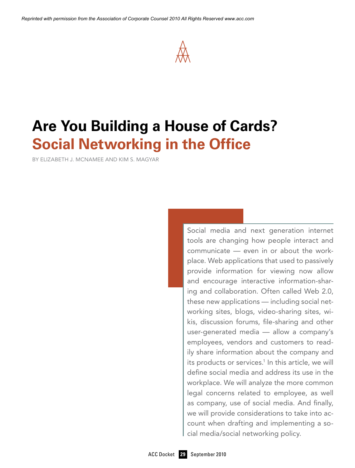

# **Are You Building a House of Cards? Social Networking in the Office**

By Elizabeth J. McNamee and Kim S. Magyar

Social media and next generation internet tools are changing how people interact and communicate — even in or about the workplace. Web applications that used to passively provide information for viewing now allow and encourage interactive information-sharing and collaboration. Often called Web 2.0, these new applications — including social networking sites, blogs, video-sharing sites, wikis, discussion forums, file-sharing and other user-generated media — allow a company's employees, vendors and customers to readily share information about the company and its products or services.<sup>1</sup> In this article, we will define social media and address its use in the workplace. We will analyze the more common legal concerns related to employee, as well as company, use of social media. And finally, we will provide considerations to take into account when drafting and implementing a social media/social networking policy.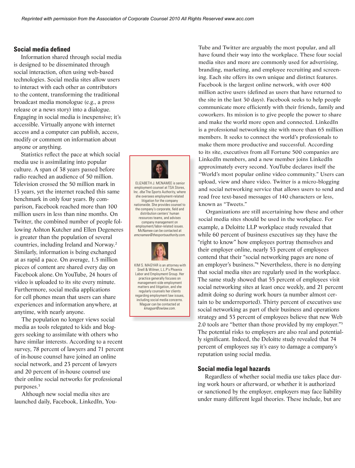#### **Social media defined**

Information shared through social media is designed to be disseminated through social interaction, often using web-based technologies. Social media sites allow users to interact with each other as contributors to the content, transforming the traditional broadcast media monologue (e.g., a press release or a news story) into a dialogue. engaging in social media is inexpensive; it's accessible. Virtually anyone with internet access and a computer can publish, access, modify or comment on information about anyone or anything.

Statistics reflect the pace at which social media use is assimilating into popular culture. A span of 38 years passed before radio reached an audience of  $50$  million. Television crossed the 50 million mark in 13 years, yet the internet reached this same benchmark in only four years. By comparison, Facebook reached more than 100 million users in less than nine months. On Twitter, the combined number of people following Ashton Kutcher and Ellen Degeneres **Communistry** McNamee can be contacted at is greater than the population of several countries, including Ireland and Norway.<sup>2</sup> Similarly, information is being exchanged  $\begin{pmatrix} 1 & 1 \\ 1 & 1 \end{pmatrix}$ at as rapid a pace. On average,  $1.5$  million pieces of content are shared every day on **EXIMAS. MAGYAR** is an attorne Facebook alone. On YouTube, 24 hours of **the communital assumer** Croup. Her video is uploaded to its site every minute. The statice generally focuses on Furthermore, social media applications matters and litigation, and she for cell phones mean that users can share regarding employment law issues. experiences and information anywhere, at Magyar can be contacted at experiences and information any where, at  $\frac{1}{\text{Kmagyar} \otimes \text{SWMaw.com}}$ an the nonulation of several emcnamee@thesportsauthority.com. rtsion crossed the 50 minion mark in  $\frac{1}{2}$  and  $\frac{1}{2}$  and  $\frac{1}{2}$  and  $\frac{1}{2}$ 

The population no longer views social **the connect to people following** the population no longer views social  $\frac{1}{1}$  media as tools relegated to kids and bloggers seeking to assimilate with others who  $\frac{1}{2}$  have similar interests. According to a recent survey, 78 percent of lawyers and 71 percent of in-house counsel have joined an online social network, and  $23$  percent of lawyers and 20 percent of in-house counsel use their online social networks for professional purposes.3

Although new social media sites are launched daily, Facebook, LinkedIn, You-



ELIZABETH J. MCNAMEE is senior employment counsel at TSA Stores, Inc. *dba* The Sports Authority, where she oversees employment-related  $l$  litigation for the company nationwide. She provides counsel to  $\|$ the company's corporate, field and *kmagyar@swlaw.com*. distribution centers' human resources teams, and advises company management on employment/labor-related issues. McNamee can be contacted at



 KIM S. MAGYAR is an attorney with Snell & Wilmer, L.L.P's Phoen Labor and Employment Group. Her practice generally focuses on management-side employment matters and litigation, and she regularly counsels her clients regarding employment law issues, including social media concerns. Magyar can be contacted at *kmagyar@swlaw.com*.

Tube and Twitter are arguably the most popular, and all have found their way into the workplace. These four social media sites and more are commonly used for advertising, branding, marketing, and employee recruiting and screening. Each site offers its own unique and distinct features. Facebook is the largest online network, with over 400 million active users (defined as users that have returned to the site in the last 30 days). Facebook seeks to help people communicate more efficiently with their friends, family and coworkers. Its mission is to give people the power to share and make the world more open and connected. LinkedIn is a professional networking site with more than 65 million members. It seeks to connect the world's professionals to make them more productive and successful. According to its site, executives from all Fortune 500 companies are LinkedIn members, and a new member joins LinkedIn approximately every second. YouTube declares itself the "World's most popular online video community." Users can upload, view and share video. Twitter is a micro-blogging and social networking service that allows users to send and read free text-based messages of 140 characters or less, known as "Tweets."

Althown as Tweets.<br>
Organizations are still ascertaining how these and other social media sites should be used in the workplace. For social networking as part of their business and operations<br>strategy and 53 percent of employees believe that new Web<br>2.0 tools are "better than those provided by my employer."<sup>5</sup> The potential risks to employers are also real and potential-*"The quality and depth of their legal team, their speed of execution and their practical,*  reputation using social media. example, a Deloitte LLP workplace study revealed that while 60 percent of business executives say they have the "right to know" how employees portray themselves and their employer online, nearly 53 percent of employees contend that their "social networking pages are none of and their south new entity pages are note of an employer's business."<sup>4</sup> Nevertheless, there is no denying an employer *s* business. Thevertheless, there is no denying that social media sites are regularly used in the workplace. The same study showed that 55 percent of employees visit social networking sites at least once weekly, and 21 percent admit doing so during work hours (a number almost certain to be underreported). Thirty percent of executives use social networking as part of their business and operations strategy and 53 percent of employees believe that new Web 2.0 tools are "better than those provided by my employer."5 ly significant. Indeed, the Deloitte study revealed that 74 percent of employees say it's easy to damage a company's Organizations are still ascertain that social fileura sites are regularly us

#### **Social media legal hazards**

Regardless of whether social media use takes place during work hours or afterward, or whether it is authorized or sanctioned by the employer, employers may face liability under many different legal theories. These include, but are  $\frac{y}{e}$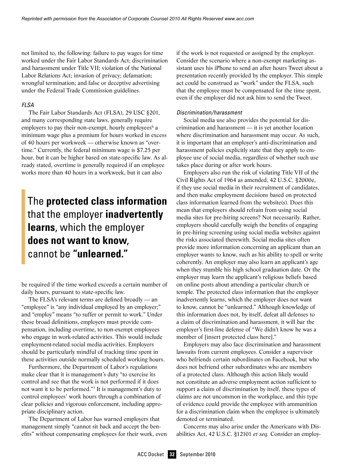not limited to, the following: failure to pay wages for time worked under the Fair Labor Standards Act; discrimination and harassment under Title VII; violation of the National Labor Relations Act; invasion of privacy; defamation; wrongful termination; and false or deceptive advertising under the Federal Trade Commission guidelines.

#### *FLSA*

The Fair Labor Standards Act (FLSA), 29 USC §201, and many corresponding state laws, generally require employers to pay their non-exempt, hourly employees $6a$ minimum wage plus a premium for hours worked in excess of 40 hours per workweek — otherwise known as "overtime." Currently, the federal minimum wage is \$7.25 per hour, but it can be higher based on state-specific law. As already stated, overtime is generally required if an employee works more than 40 hours in a workweek, but it can also

# The **protected class information** that the employer **inadvertently learns**, which the employer **does not want to know**, cannot be **"unlearned."**

be required if the time worked exceeds a certain number of daily hours, pursuant to state-specific law.

The FLSA's relevant terms are defined broadly — an "employee" is "any individual employed by an employer;" and "employ" means "to suffer or permit to work." Under these broad definitions, employers must provide compensation, including overtime, to non-exempt employees who engage in work-related activities. This would include employment-related social media activities. Employers should be particularly mindful of tracking time spent in these activities outside normally scheduled working hours.

Furthermore, the Department of Labor's regulations make clear that it is management's duty "to exercise its control and see that the work is not performed if it does not want it to be performed."7 It is management's duty to control employees' work hours through a combination of clear policies and vigorous enforcement, including appropriate disciplinary action.

The Department of Labor has warned employers that management simply "cannot sit back and accept the benefits" without compensating employees for their work, even if the work is not requested or assigned by the employer. Consider the scenario where a non-exempt marketing assistant uses his iPhone to send an after hours Tweet about a presentation recently provided by the employer. This simple act could be construed as "work" under the FLSA, such that the employee must be compensated for the time spent, even if the employer did not ask him to send the Tweet.

#### *Discrimination/harassment*

Social media use also provides the potential for discrimination and harassment — it is yet another location where discrimination and harassment may occur. As such, it is important that an employer's anti-discrimination and harassment policies explicitly state that they apply to employee use of social media, regardless of whether such use takes place during or after work hours.

Employers also run the risk of violating Title VII of the Civil Rights Act of 1964 as amended, 42 U.S.C. §2000e, if they use social media in their recruitment of candidates, and then make employment decisions based on protected class information learned from the website(s). Does this mean that employers should refrain from using social media sites for pre-hiring screens? Not necessarily. Rather, employers should carefully weigh the benefits of engaging in pre-hiring screening using social media websites against the risks associated therewith. Social media sites often provide more information concerning an applicant than an employer wants to know, such as his ability to spell or write coherently. An employer may also learn an applicant's age when they stumble his high school graduation date. Or the employer may learn the applicant's religious beliefs based on online posts about attending a particular church or temple. The protected class information that the employer inadvertently learns, which the employer does not want to know, cannot be "unlearned." Although knowledge of this information does not, by itself, defeat all defenses to a claim of discrimination and harassment, it will bar the employer's first-line defense of "We didn't know he was a member of [insert protected class here]."

Employers may also face discrimination and harassment lawsuits from current employees. Consider a supervisor who befriends certain subordinates on Facebook, but who does not befriend other subordinates who are members of a protected class. Although this action likely would not constitute an adverse employment action sufficient to support a claim of discrimination by itself, these types of claims are not uncommon in the workplace, and this type of evidence could provide the employee with ammunition for a discrimination claim when the employee is ultimately demoted or terminated.

Concerns may also arise under the Americans with Disabilities Act, 42 U.S.C. §12101 *et seq.* Consider an employ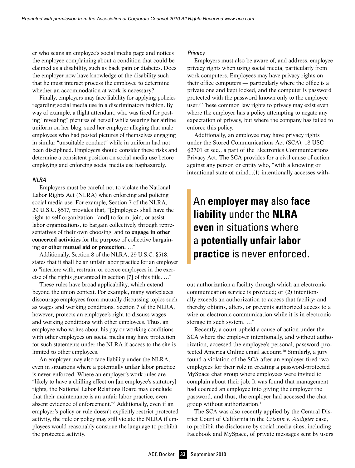er who scans an employee's social media page and notices the employee complaining about a condition that could be claimed as a disability, such as back pain or diabetes. Does the employer now have knowledge of the disability such that he must interact process the employee to determine whether an accommodation at work is necessary?

Finally, employers may face liability for applying policies regarding social media use in a discriminatory fashion. By way of example, a flight attendant, who was fired for posting "revealing" pictures of herself while wearing her airline uniform on her blog, sued her employer alleging that male employees who had posted pictures of themselves engaging in similar "unsuitable conduct" while in uniform had not been disciplined. Employers should consider these risks and determine a consistent position on social media use before employing and enforcing social media use haphazardly.

#### *NLRA*

Employers must be careful not to violate the National Labor Rights Act (NLRA) when enforcing and policing social media use. For example, Section 7 of the NLRA, 29 U.S.C. §517, provides that, "[e]mployees shall have the right to self-organization, [and] to form, join, or assist labor organizations, to bargain collectively through representatives of their own choosing, and **to engage in other concerted activities** for the purpose of collective bargaining **or other mutual aid or protection.** …"

Additionally, Section 8 of the NLRA, 29 U.S.C. §518, states that it shall be an unfair labor practice for an employer to "interfere with, restrain, or coerce employees in the exercise of the rights guaranteed in section [7] of this title. …"

These rules have broad applicability, which extend beyond the union context. For example, many workplaces discourage employees from mutually discussing topics such as wages and working conditions. Section 7 of the NLRA, however, protects an employee's right to discuss wages and working conditions with other employees. Thus, an employee who writes about his pay or working conditions with other employees on social media may have protection for such statements under the NLRA if access to the site is limited to other employees.

An employer may also face liability under the NLRA, even in situations where a potentially unfair labor practice is never enforced. Where an employer's work rules are "likely to have a chilling effect on [an employee's statutory] rights, the National Labor Relations Board may conclude that their maintenance is an unfair labor practice, even absent evidence of enforcement."8 Additionally, even if an employer's policy or rule doesn't explicitly restrict protected activity, the rule or policy may still violate the NLRA if employees would reasonably construe the language to prohibit the protected activity.

#### *Privacy*

Employers must also be aware of, and address, employee privacy rights when using social media, particularly from work computers. Employees may have privacy rights on their office computers — particularly where the office is a private one and kept locked, and the computer is password protected with the password known only to the employee user.9 These common law rights to privacy may exist even where the employer has a policy attempting to negate any expectation of privacy, but where the company has failed to enforce this policy.

Additionally, an employee may have privacy rights under the Stored Communications Act (SCA), 18 USC §2701 et seq., a part of the Electronics Communications Privacy Act. The SCA provides for a civil cause of action against any person or entity who, "with a knowing or intentional state of mind...(1) intentionally accesses with-

## An **employer may** also **face liability** under the **NLRA even** in situations where a **potentially unfair labor practice** is never enforced.

out authorization a facility through which an electronic communication service is provided; or (2) intentionally exceeds an authorization to access that facility; and thereby obtains, alters, or prevents authorized access to a wire or electronic communication while it is in electronic storage in such system. …"

Recently, a court upheld a cause of action under the SCA where the employer intentionally, and without authorization, accessed the employee's personal, password-protected America Online email account.<sup>10</sup> Similarly, a jury found a violation of the SCA after an employer fired two employees for their role in creating a password-protected MySpace chat group where employees were invited to complain about their job. It was found that management had coerced an employee into giving the employer the password, and thus, the employer had accessed the chat group without authorization.11

The SCA was also recently applied by the Central District Court of California in the *Crispin v. Audigier* case, to prohibit the disclosure by social media sites, including Facebook and MySpace, of private messages sent by users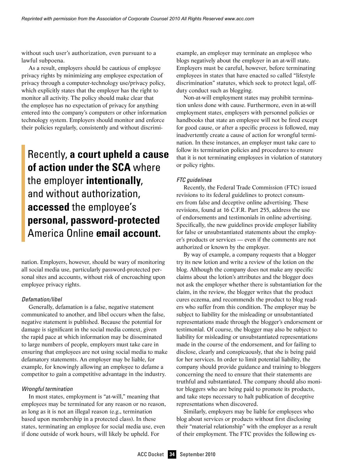without such user's authorization, even pursuant to a lawful subpoena.

As a result, employers should be cautious of employee privacy rights by minimizing any employee expectation of privacy through a computer-technology use/privacy policy, which explicitly states that the employer has the right to monitor all activity. The policy should make clear that the employee has no expectation of privacy for anything entered into the company's computers or other information technology system. Employers should monitor and enforce their policies regularly, consistently and without discrimi-

## Recently, **a court upheld a cause of action under the SCA** where the employer **intentionally**, and without authorization, **accessed** the employee's **personal, password-protected** America Online **email account.**

nation. Employers, however, should be wary of monitoring all social media use, particularly password-protected personal sites and accounts, without risk of encroaching upon employee privacy rights.

#### *Defamation/libel*

Generally, defamation is a false, negative statement communicated to another, and libel occurs when the false, negative statement is published. Because the potential for damage is significant in the social media context, given the rapid pace at which information may be disseminated to large numbers of people, employers must take care in ensuring that employees are not using social media to make defamatory statements. An employer may be liable, for example, for knowingly allowing an employee to defame a competitor to gain a competitive advantage in the industry.

#### *Wrongful termination*

In most states, employment is "at-will," meaning that employees may be terminated for any reason or no reason, as long as it is not an illegal reason (e.g., termination based upon membership in a protected class). In these states, terminating an employee for social media use, even if done outside of work hours, will likely be upheld. For

example, an employer may terminate an employee who blogs negatively about the employer in an at-will state. Employers must be careful, however, before terminating employees in states that have enacted so called "lifestyle discrimination" statutes, which seek to protect legal, offduty conduct such as blogging.

Non-at-will employment states may prohibit termination unless done with cause. Furthermore, even in at-will employment states, employers with personnel policies or handbooks that state an employee will not be fired except for good cause, or after a specific process is followed, may inadvertently create a cause of action for wrongful termination. In these instances, an employer must take care to follow its termination policies and procedures to ensure that it is not terminating employees in violation of statutory or policy rights.

#### *FTC guidelines*

Recently, the Federal Trade Commission (FTC) issued revisions to its federal guidelines to protect consumers from false and deceptive online advertising. These revisions, found at 16 C.F.R. Part 255, address the use of endorsements and testimonials in online advertising. Specifically, the new guidelines provide employer liability for false or unsubstantiated statements about the employer's products or services — even if the comments are not authorized or known by the employer.

By way of example, a company requests that a blogger try its new lotion and write a review of the lotion on the blog. Although the company does not make any specific claims about the lotion's attributes and the blogger does not ask the employer whether there is substantiation for the claim, in the review, the blogger writes that the product cures eczema, and recommends the product to blog readers who suffer from this condition. The employer may be subject to liability for the misleading or unsubstantiated representations made through the blogger's endorsement or testimonial. Of course, the blogger may also be subject to liability for misleading or unsubstantiated representations made in the course of the endorsement, and for failing to disclose, clearly and conspicuously, that she is being paid for her services. In order to limit potential liability, the company should provide guidance and training to bloggers concerning the need to ensure that their statements are truthful and substantiated. The company should also monitor bloggers who are being paid to promote its products, and take steps necessary to halt publication of deceptive representations when discovered.

Similarly, employers may be liable for employees who blog about services or products without first disclosing their "material relationship" with the employer as a result of their employment. The FTC provides the following ex-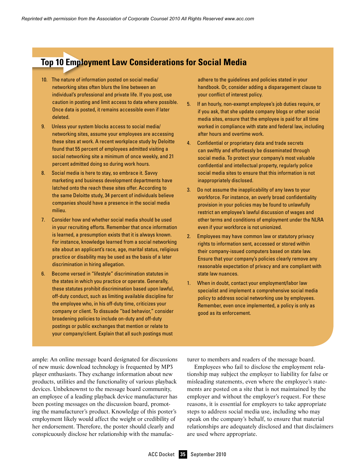### **Top 10 Employment Law Considerations for Social Media**

- 10. The nature of information posted on social media/ networking sites often blurs the line between an individual's professional and private life. If you post, use caution in posting and limit access to data where possible. Once data is posted, it remains accessible even if later deleted.
- 9. Unless your system blocks access to social media/ networking sites, assume your employees are accessing these sites at work. A recent workplace study by Deloitte found that 55 percent of employees admitted visiting a social networking site a minimum of once weekly, and 21 percent admitted doing so during work hours.
- 8. Social media is here to stay, so embrace it. Savvy marketing and business development departments have latched onto the reach these sites offer. According to the same Deloitte study, 34 percent of individuals believe companies should have a presence in the social media milieu.
- 7. Consider how and whether social media should be used in your recruiting efforts. Remember that once information is learned, a presumption exists that it is always known. For instance, knowledge learned from a social networking site about an applicant's race, age, marital status, religious practice or disability may be used as the basis of a later discrimination in hiring allegation.
- 6. Become versed in "lifestyle" discrimination statutes in the states in which you practice or operate. Generally, these statutes prohibit discrimination based upon lawful, off-duty conduct, such as limiting available discipline for the employee who, in his off-duty time, criticizes your company or client. To dissuade "bad behavior," consider broadening policies to include on-duty and off-duty postings or public exchanges that mention or relate to your company/client. Explain that all such postings must

ample: An online message board designated for discussions of new music download technology is frequented by MP3 player enthusiasts. They exchange information about new products, utilities and the functionality of various playback devices. Unbeknownst to the message board community, an employee of a leading playback device manufacturer has been posting messages on the discussion board, promoting the manufacturer's product. Knowledge of this poster's employment likely would affect the weight or credibility of her endorsement. Therefore, the poster should clearly and conspicuously disclose her relationship with the manufacadhere to the guidelines and policies stated in your handbook. Or, consider adding a disparagement clause to your conflict of interest policy.

- 5. If an hourly, non-exempt employee's job duties require, or if you ask, that she update company blogs or other social media sites, ensure that the employee is paid for all time worked in compliance with state and federal law, including after hours and overtime work.
- 4. Confidential or proprietary data and trade secrets can swiftly and effortlessly be disseminated through social media. To protect your company's most valuable confidential and intellectual property, regularly police social media sites to ensure that this information is not inappropriately disclosed.
- 3. Do not assume the inapplicability of any laws to your workforce. For instance, an overly broad confidentiality provision in your policies may be found to unlawfully restrict an employee's lawful discussion of wages and other terms and conditions of employment under the NLRA even if your workforce is not unionized.
- 2. Employees may have common law or statutory privacy rights to information sent, accessed or stored within their company-issued computers based on state law. Ensure that your company's policies clearly remove any reasonable expectation of privacy and are compliant with state law nuances.
- 1. When in doubt, contact your employment/labor law specialist and implement a comprehensive social media policy to address social networking use by employees. Remember, even once implemented, a policy is only as good as its enforcement.

turer to members and readers of the message board.

Employees who fail to disclose the employment relationship may subject the employer to liability for false or misleading statements, even where the employee's statements are posted on a site that is not maintained by the employer and without the employer's request. For these reasons, it is essential for employers to take appropriate steps to address social media use, including who may speak on the company's behalf, to ensure that material relationships are adequately disclosed and that disclaimers are used where appropriate.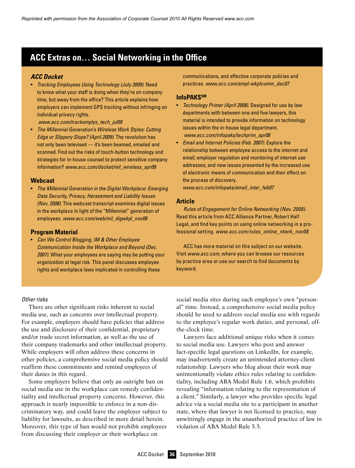### **ACC Extras on… Social Networking in the Office**

#### *ACC Docket*

• *Tracking Employees Using Technology (July 2009).* Need to know what your staff is doing when they're on company time, but away from the office? This article explains how employers can implement GPS tracking without infringing on individual privacy rights. 

*www.acc.com/trackemplys\_tech\_jul09*

• *The Millennial Generation's Wireless Work Styles: Cutting Edge or Slippery Slope? (April 2009).* The revolution has not only been televised — it's been beamed, emailed and scanned. Find out the risks of touch-button technology and strategies for in-house counsel to protect sensitive company information? *www.acc.com/docket/mil\_wireless\_apr09*

#### **Webcast**

• *The Millennial Generation in the Digital Workplace: Emerging Data Security, Privacy, Harassment and Liability Issues (Nov. 2008).* This webcast transcript examines digital issues in the workplace in light of the "Millennial" generation of employees. *www.acc.com/web/mil\_digwkpl\_nov08*

#### **Program Material**

• *Can We Control Blogging, IM & Other Employee Communication Inside the Workplace and Beyond (Dec. 2007).* What your employees are saying may be putting your organization at legal risk. This panel discusses employee rights and workplace laws implicated in controlling these

#### *Other risks*

There are other significant risks inherent to social media use, such as concerns over intellectual property. For example, employers should have policies that address the use and disclosure of their confidential, proprietary and/or trade secret information, as well as the use of their company trademarks and other intellectual property. While employers will often address these concerns in other policies, a comprehensive social media policy should reaffirm these commitments and remind employees of their duties in this regard.

Some employers believe that only an outright ban on social media use in the workplace can remedy confidentiality and intellectual property concerns. However, this approach is nearly impossible to enforce in a non-discriminatory way, and could leave the employer subject to liability for lawsuits, as described in more detail herein. Moreover, this type of ban would not prohibit employees from discussing their employer or their workplace on

communications, and effective corporate policies and practices. *www.acc.com/empl-wkplcomm\_dec07*

#### **InfoPAKSSM**

- • *Technology Primer (April 2008).* Designed for use by law departments with between one and five lawyers, this material is intended to provide information on technology issues within the in-house legal department. *www.acc.com/infopaks/techprim\_apr08*
- • *Email and Internet Policies (Feb. 2007).* Explore the relationship between employee access to the internet and email; employer regulation and monitoring of internet use addresses; and new issues presented by the increased use of electronic means of communication and their effect on the process of discovery.

*www.acc.com/infopaks/email\_inter\_feb07*

#### **Article**

*Rules of Engagement for Online Networking (Nov. 2008).* Read this article from ACC Alliance Partner, Robert Half Legal, and find key points on using online networking in a professional setting. *www.acc.com/rules\_online\_ntwrk\_nov08*

ACC has more material on this subject on our website. Visit *www.acc.com*, where you can browse our resources by practice area or use our search to find documents by keyword.

social media sites during each employee's own "personal" time. Instead, a comprehensive social media policy should be used to address social media use with regards to the employee's regular work duties, and personal, offthe-clock time.

Lawyers face additional unique risks when it comes to social media use. Lawyers who post and answer fact-specific legal questions on LinkedIn, for example, may inadvertently create an unintended attorney-client relationship. Lawyers who blog about their work may unintentionally violate ethics rules relating to confidentiality, including ABA Model Rule 1.6, which prohibits revealing "information relating to the representation of a client." Similarly, a lawyer who provides specific legal advice via a social media site to a participant in another state, where that lawyer is not licensed to practice, may unwittingly engage in the unauthorized practice of law in violation of ABA Model Rule 5.5.